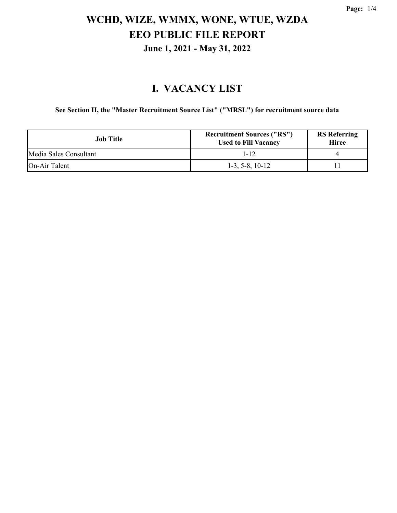### **I. VACANCY LIST**

**See Section II, the "Master Recruitment Source List" ("MRSL") for recruitment source data**

| Job Title              | <b>Recruitment Sources ("RS")</b><br><b>Used to Fill Vacancy</b> | <b>RS</b> Referring<br><b>Hiree</b> |
|------------------------|------------------------------------------------------------------|-------------------------------------|
| Media Sales Consultant | 1-12                                                             |                                     |
| <b>On-Air Talent</b>   | $1-3, 5-8, 10-12$                                                |                                     |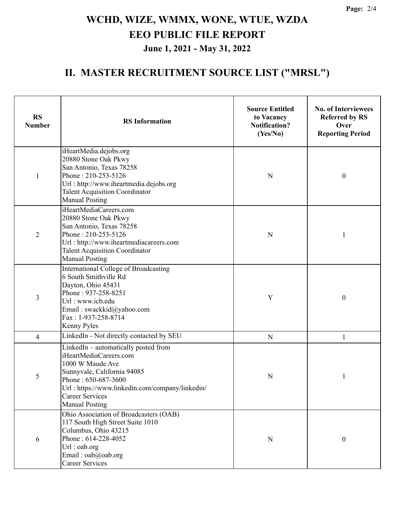### **II. MASTER RECRUITMENT SOURCE LIST ("MRSL")**

| <b>RS</b><br><b>Number</b> | <b>RS</b> Information                                                                                                                                                                                                                          | <b>Source Entitled</b><br>to Vacancy<br><b>Notification?</b><br>(Yes/No) | <b>No. of Interviewees</b><br><b>Referred by RS</b><br>Over<br><b>Reporting Period</b> |  |
|----------------------------|------------------------------------------------------------------------------------------------------------------------------------------------------------------------------------------------------------------------------------------------|--------------------------------------------------------------------------|----------------------------------------------------------------------------------------|--|
| 1                          | iHeartMedia.dejobs.org<br>20880 Stone Oak Pkwy<br>San Antonio, Texas 78258<br>Phone: 210-253-5126<br>Url: http://www.iheartmedia.dejobs.org<br><b>Talent Acquisition Coordinator</b><br><b>Manual Posting</b>                                  | N                                                                        | $\boldsymbol{0}$                                                                       |  |
| $\overline{2}$             | iHeartMediaCareers.com<br>20880 Stone Oak Pkwy<br>San Antonio, Texas 78258<br>Phone: 210-253-5126<br>Url: http://www.iheartmediacareers.com<br><b>Talent Acquisition Coordinator</b><br><b>Manual Posting</b>                                  | N                                                                        | 1                                                                                      |  |
| 3                          | International College of Broadcasting<br>6 South Smithville Rd<br>Dayton, Ohio 45431<br>Phone: 937-258-8251<br>Url: www.icb.edu<br>Email: swackkid@yahoo.com<br>Fax: 1-937-258-8714<br>Kenny Pyles                                             | Y                                                                        | $\boldsymbol{0}$                                                                       |  |
| 4                          | LinkedIn - Not directly contacted by SEU                                                                                                                                                                                                       | $\mathbf N$                                                              | 1                                                                                      |  |
| 5                          | LinkedIn – automatically posted from<br>iHeartMediaCareers.com<br>1000 W Maude Ave<br>Sunnyvale, California 94085<br>Phone: 650-687-3600<br>Url: https://www.linkedin.com/company/linkedin/<br><b>Career Services</b><br><b>Manual Posting</b> | N                                                                        | 1                                                                                      |  |
| 6                          | Ohio Association of Broadcasters (OAB)<br>117 South High Street Suite 1010<br>Columbus, Ohio 43215<br>Phone: 614-228-4052<br>Url: oab.org<br>Email: oab@oab.org<br><b>Career Services</b>                                                      | ${\bf N}$                                                                | $\boldsymbol{0}$                                                                       |  |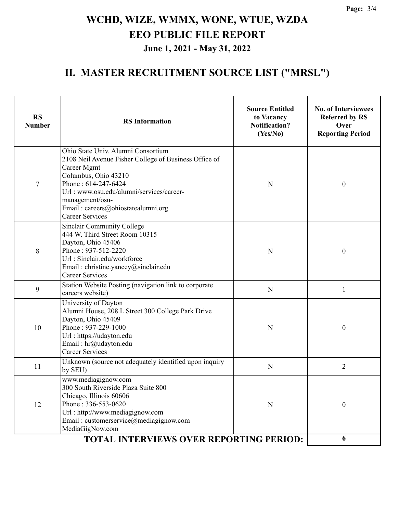### **II. MASTER RECRUITMENT SOURCE LIST ("MRSL")**

| <b>RS</b><br><b>Number</b> | <b>RS</b> Information                                                                                                                                                                                                                                                                    | <b>Source Entitled</b><br>to Vacancy<br><b>Notification?</b><br>(Yes/No) | <b>No. of Interviewees</b><br><b>Referred by RS</b><br>Over<br><b>Reporting Period</b> |  |
|----------------------------|------------------------------------------------------------------------------------------------------------------------------------------------------------------------------------------------------------------------------------------------------------------------------------------|--------------------------------------------------------------------------|----------------------------------------------------------------------------------------|--|
| 7                          | Ohio State Univ. Alumni Consortium<br>2108 Neil Avenue Fisher College of Business Office of<br>Career Mgmt<br>Columbus, Ohio 43210<br>Phone: 614-247-6424<br>Url: www.osu.edu/alumni/services/career-<br>management/osu-<br>Email: careers@ohiostatealumni.org<br><b>Career Services</b> | N                                                                        | $\boldsymbol{0}$                                                                       |  |
| 8                          | Sinclair Community College<br>444 W. Third Street Room 10315<br>Dayton, Ohio 45406<br>Phone: 937-512-2220<br>Url: Sinclair.edu/workforce<br>Email: christine.yancey@sinclair.edu<br><b>Career Services</b>                                                                               | N                                                                        | $\boldsymbol{0}$                                                                       |  |
| 9                          | Station Website Posting (navigation link to corporate<br>${\bf N}$<br>careers website)                                                                                                                                                                                                   |                                                                          | 1                                                                                      |  |
| 10                         | University of Dayton<br>Alumni House, 208 L Street 300 College Park Drive<br>Dayton, Ohio 45409<br>Phone: 937-229-1000<br>Url: https://udayton.edu<br>Email: hr@udayton.edu<br><b>Career Services</b>                                                                                    | N                                                                        | $\boldsymbol{0}$                                                                       |  |
| 11                         | Unknown (source not adequately identified upon inquiry<br>by SEU)                                                                                                                                                                                                                        | N                                                                        | 2                                                                                      |  |
| 12                         | www.mediagignow.com<br>300 South Riverside Plaza Suite 800<br>Chicago, Illinois 60606<br>Phone: 336-553-0620<br>Url: http://www.mediagignow.com<br>Email: customerservice@mediagignow.com<br>MediaGigNow.com                                                                             | N                                                                        | $\boldsymbol{0}$                                                                       |  |
|                            | TOTAL INTERVIEWS OVER REPORTING PERIOD:                                                                                                                                                                                                                                                  |                                                                          |                                                                                        |  |